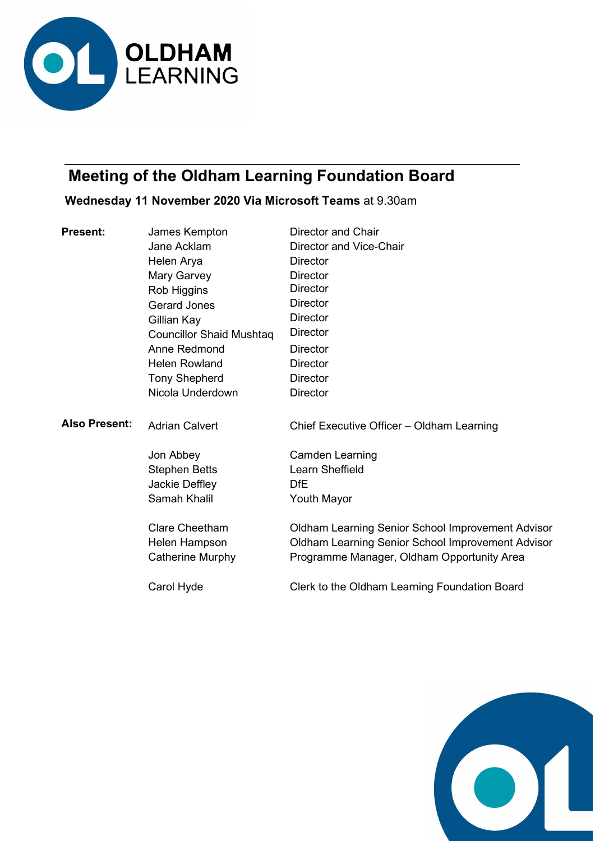

# Meeting of the Oldham Learning Foundation Board

# Wednesday 11 November 2020 Via Microsoft Teams at 9.30am

| <b>Present:</b>      | James Kempton                   | <b>Director and Chair</b>                                |
|----------------------|---------------------------------|----------------------------------------------------------|
|                      | Jane Acklam                     | Director and Vice-Chair                                  |
|                      | Helen Arya                      | <b>Director</b>                                          |
|                      | Mary Garvey                     | <b>Director</b>                                          |
|                      | Rob Higgins                     | <b>Director</b>                                          |
|                      | <b>Gerard Jones</b>             | <b>Director</b>                                          |
|                      | Gillian Kay                     | <b>Director</b>                                          |
|                      | <b>Councillor Shaid Mushtag</b> | <b>Director</b>                                          |
|                      | Anne Redmond                    | <b>Director</b>                                          |
|                      | <b>Helen Rowland</b>            | <b>Director</b>                                          |
|                      | <b>Tony Shepherd</b>            | <b>Director</b>                                          |
|                      | Nicola Underdown                | <b>Director</b>                                          |
| <b>Also Present:</b> | <b>Adrian Calvert</b>           | Chief Executive Officer - Oldham Learning                |
|                      | Jon Abbey                       | <b>Camden Learning</b>                                   |
|                      | <b>Stephen Betts</b>            | Learn Sheffield                                          |
|                      | Jackie Deffley                  | <b>DfE</b>                                               |
|                      | Samah Khalil                    | <b>Youth Mayor</b>                                       |
|                      | <b>Clare Cheetham</b>           | <b>Oldham Learning Senior School Improvement Advisor</b> |
|                      | Helen Hampson                   | Oldham Learning Senior School Improvement Advisor        |
|                      | Catherine Murphy                | Programme Manager, Oldham Opportunity Area               |
|                      | Carol Hyde                      | Clerk to the Oldham Learning Foundation Board            |
|                      |                                 |                                                          |

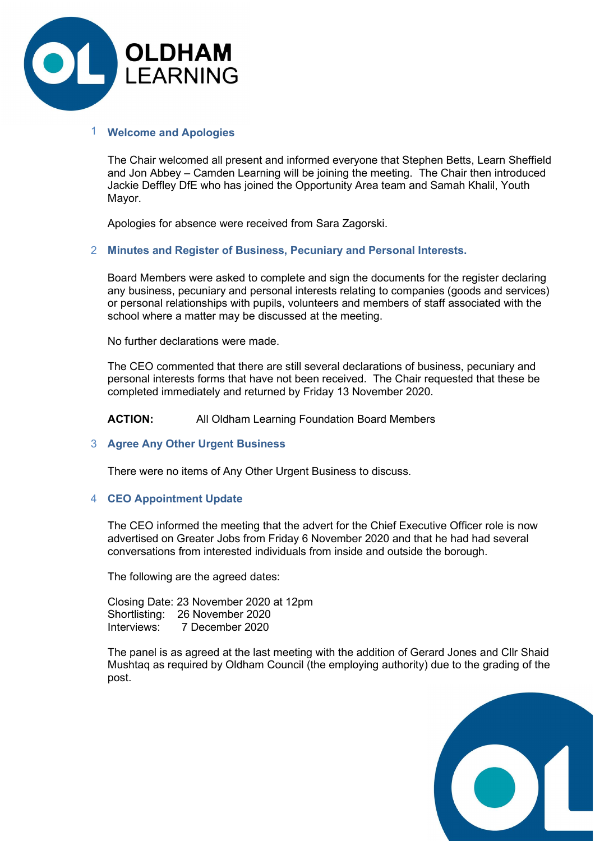

# 1 Welcome and Apologies

The Chair welcomed all present and informed everyone that Stephen Betts, Learn Sheffield and Jon Abbey – Camden Learning will be joining the meeting. The Chair then introduced Jackie Deffley DfE who has joined the Opportunity Area team and Samah Khalil, Youth Mayor.

Apologies for absence were received from Sara Zagorski.

# 2 Minutes and Register of Business, Pecuniary and Personal Interests.

Board Members were asked to complete and sign the documents for the register declaring any business, pecuniary and personal interests relating to companies (goods and services) or personal relationships with pupils, volunteers and members of staff associated with the school where a matter may be discussed at the meeting.

No further declarations were made.

The CEO commented that there are still several declarations of business, pecuniary and personal interests forms that have not been received. The Chair requested that these be completed immediately and returned by Friday 13 November 2020.

ACTION: All Oldham Learning Foundation Board Members

### 3 Agree Any Other Urgent Business

There were no items of Any Other Urgent Business to discuss.

#### 4 CEO Appointment Update

The CEO informed the meeting that the advert for the Chief Executive Officer role is now advertised on Greater Jobs from Friday 6 November 2020 and that he had had several conversations from interested individuals from inside and outside the borough.

The following are the agreed dates:

Closing Date: 23 November 2020 at 12pm Shortlisting: 26 November 2020 Interviews: 7 December 2020

The panel is as agreed at the last meeting with the addition of Gerard Jones and Cllr Shaid Mushtaq as required by Oldham Council (the employing authority) due to the grading of the post.

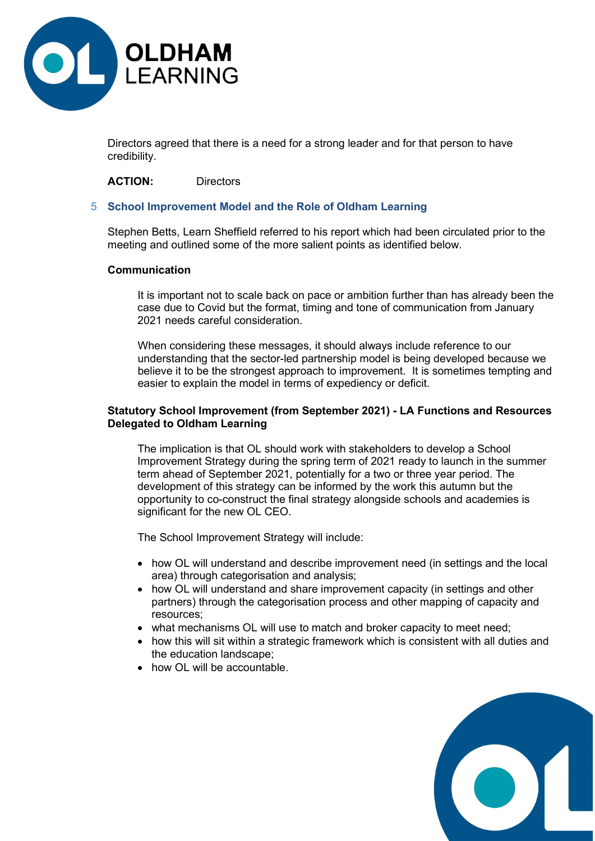

Directors agreed that there is a need for a strong leader and for that person to have credibility.

ACTION: Directors

# 5 School Improvement Model and the Role of Oldham Learning

Stephen Betts, Learn Sheffield referred to his report which had been circulated prior to the meeting and outlined some of the more salient points as identified below.

### Communication

 It is important not to scale back on pace or ambition further than has already been the case due to Covid but the format, timing and tone of communication from January 2021 needs careful consideration.

 When considering these messages, it should always include reference to our understanding that the sector-led partnership model is being developed because we believe it to be the strongest approach to improvement. It is sometimes tempting and easier to explain the model in terms of expediency or deficit.

# Statutory School Improvement (from September 2021) - LA Functions and Resources Delegated to Oldham Learning

 The implication is that OL should work with stakeholders to develop a School Improvement Strategy during the spring term of 2021 ready to launch in the summer term ahead of September 2021, potentially for a two or three year period. The development of this strategy can be informed by the work this autumn but the opportunity to co-construct the final strategy alongside schools and academies is significant for the new OL CEO.

The School Improvement Strategy will include:

- how OL will understand and describe improvement need (in settings and the local area) through categorisation and analysis;
- how OL will understand and share improvement capacity (in settings and other partners) through the categorisation process and other mapping of capacity and resources;
- what mechanisms OL will use to match and broker capacity to meet need;
- how this will sit within a strategic framework which is consistent with all duties and the education landscape;
- how OL will be accountable.

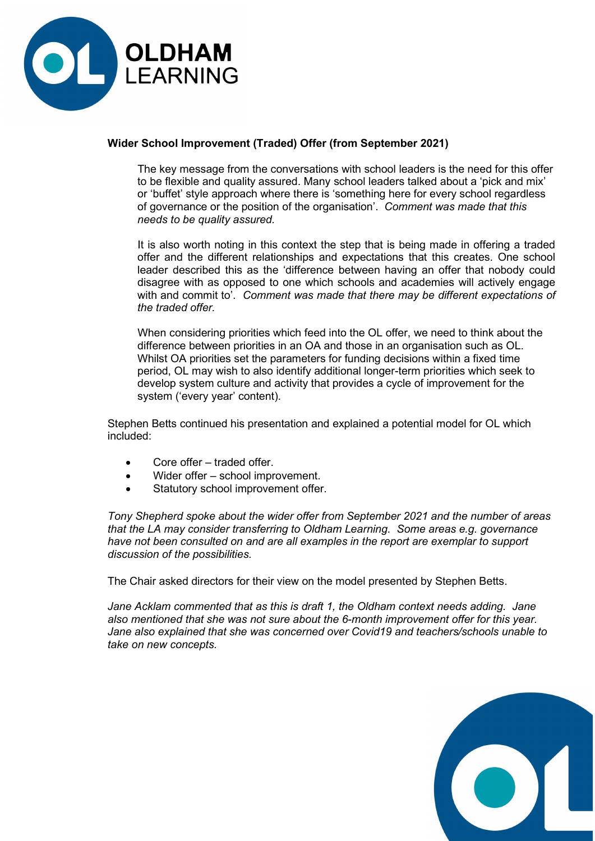

# Wider School Improvement (Traded) Offer (from September 2021)

 The key message from the conversations with school leaders is the need for this offer to be flexible and quality assured. Many school leaders talked about a 'pick and mix' or 'buffet' style approach where there is 'something here for every school regardless of governance or the position of the organisation'. Comment was made that this needs to be quality assured.

 It is also worth noting in this context the step that is being made in offering a traded offer and the different relationships and expectations that this creates. One school leader described this as the 'difference between having an offer that nobody could disagree with as opposed to one which schools and academies will actively engage with and commit to'. Comment was made that there may be different expectations of the traded offer.

 When considering priorities which feed into the OL offer, we need to think about the difference between priorities in an OA and those in an organisation such as OL. Whilst OA priorities set the parameters for funding decisions within a fixed time period, OL may wish to also identify additional longer-term priorities which seek to develop system culture and activity that provides a cycle of improvement for the system ('every year' content).

Stephen Betts continued his presentation and explained a potential model for OL which included:

- Core offer traded offer.
- Wider offer school improvement.
- Statutory school improvement offer.

Tony Shepherd spoke about the wider offer from September 2021 and the number of areas that the LA may consider transferring to Oldham Learning. Some areas e.g. governance have not been consulted on and are all examples in the report are exemplar to support discussion of the possibilities.

The Chair asked directors for their view on the model presented by Stephen Betts.

Jane Acklam commented that as this is draft 1, the Oldham context needs adding. Jane also mentioned that she was not sure about the 6-month improvement offer for this year. Jane also explained that she was concerned over Covid19 and teachers/schools unable to take on new concepts.

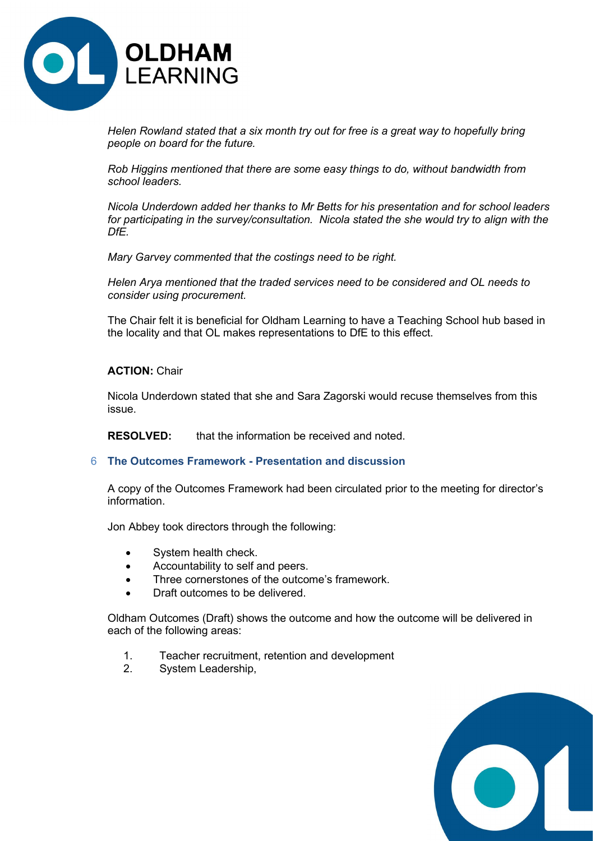

Helen Rowland stated that a six month try out for free is a great way to hopefully bring people on board for the future.

Rob Higgins mentioned that there are some easy things to do, without bandwidth from school leaders.

Nicola Underdown added her thanks to Mr Betts for his presentation and for school leaders for participating in the survey/consultation. Nicola stated the she would try to align with the DfE.

Mary Garvey commented that the costings need to be right.

Helen Arya mentioned that the traded services need to be considered and OL needs to consider using procurement.

The Chair felt it is beneficial for Oldham Learning to have a Teaching School hub based in the locality and that OL makes representations to DfE to this effect.

# ACTION: Chair

Nicola Underdown stated that she and Sara Zagorski would recuse themselves from this issue.

RESOLVED: that the information be received and noted.

#### 6 The Outcomes Framework - Presentation and discussion

A copy of the Outcomes Framework had been circulated prior to the meeting for director's information.

Jon Abbey took directors through the following:

- System health check.
- Accountability to self and peers.
- Three cornerstones of the outcome's framework.
- Draft outcomes to be delivered.

Oldham Outcomes (Draft) shows the outcome and how the outcome will be delivered in each of the following areas:

- 1. Teacher recruitment, retention and development
- 2. System Leadership,

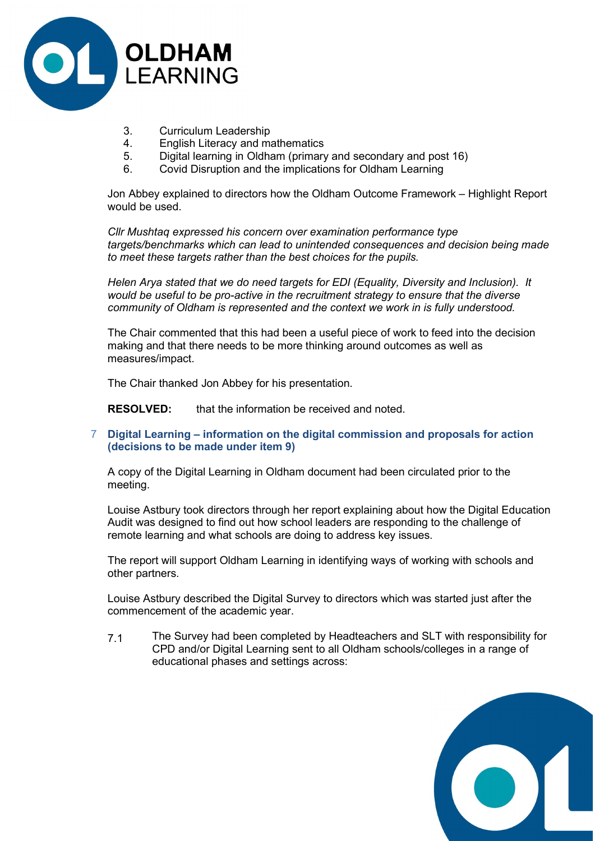

- 3. Curriculum Leadership
- 4. English Literacy and mathematics
- 5. Digital learning in Oldham (primary and secondary and post 16)
- 6. Covid Disruption and the implications for Oldham Learning

Jon Abbey explained to directors how the Oldham Outcome Framework – Highlight Report would be used.

Cllr Mushtaq expressed his concern over examination performance type targets/benchmarks which can lead to unintended consequences and decision being made to meet these targets rather than the best choices for the pupils.

Helen Arya stated that we do need targets for EDI (Equality, Diversity and Inclusion). It would be useful to be pro-active in the recruitment strategy to ensure that the diverse community of Oldham is represented and the context we work in is fully understood.

The Chair commented that this had been a useful piece of work to feed into the decision making and that there needs to be more thinking around outcomes as well as measures/impact.

The Chair thanked Jon Abbey for his presentation.

RESOLVED: that the information be received and noted.

# 7 Digital Learning – information on the digital commission and proposals for action (decisions to be made under item 9)

A copy of the Digital Learning in Oldham document had been circulated prior to the meeting.

Louise Astbury took directors through her report explaining about how the Digital Education Audit was designed to find out how school leaders are responding to the challenge of remote learning and what schools are doing to address key issues.

The report will support Oldham Learning in identifying ways of working with schools and other partners.

Louise Astbury described the Digital Survey to directors which was started just after the commencement of the academic year.

7.1 The Survey had been completed by Headteachers and SLT with responsibility for CPD and/or Digital Learning sent to all Oldham schools/colleges in a range of educational phases and settings across:

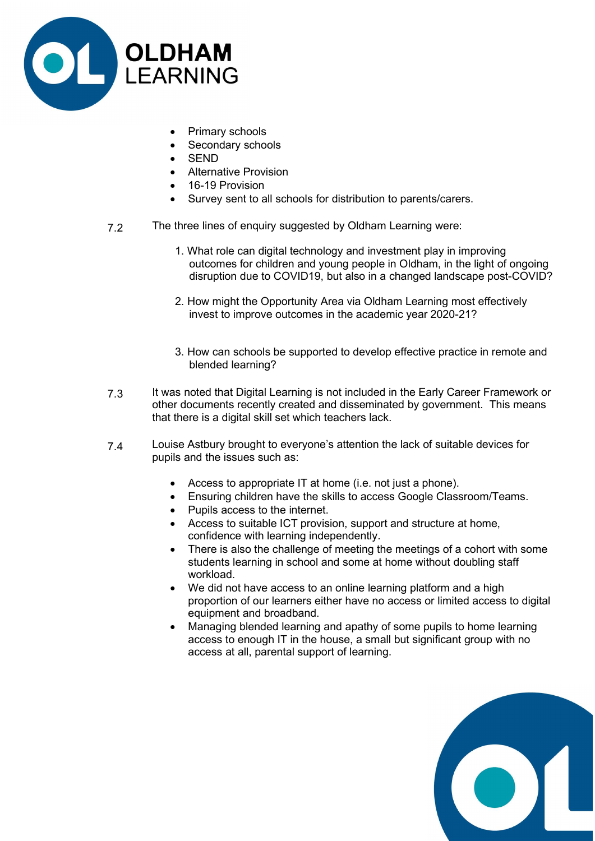

- Primary schools
- Secondary schools
- SEND
- Alternative Provision
- 16-19 Provision
- Survey sent to all schools for distribution to parents/carers.
- 7.2 The three lines of enquiry suggested by Oldham Learning were:
	- 1. What role can digital technology and investment play in improving outcomes for children and young people in Oldham, in the light of ongoing disruption due to COVID19, but also in a changed landscape post-COVID?
	- 2. How might the Opportunity Area via Oldham Learning most effectively invest to improve outcomes in the academic year 2020-21?
	- 3. How can schools be supported to develop effective practice in remote and blended learning?
- 7.3 It was noted that Digital Learning is not included in the Early Career Framework or other documents recently created and disseminated by government. This means that there is a digital skill set which teachers lack.
- 7.4 Louise Astbury brought to everyone's attention the lack of suitable devices for pupils and the issues such as:
	- Access to appropriate IT at home (i.e. not just a phone).
	- Ensuring children have the skills to access Google Classroom/Teams.
	- Pupils access to the internet.
	- Access to suitable ICT provision, support and structure at home, confidence with learning independently.
	- There is also the challenge of meeting the meetings of a cohort with some students learning in school and some at home without doubling staff workload.
	- We did not have access to an online learning platform and a high proportion of our learners either have no access or limited access to digital equipment and broadband.
	- Managing blended learning and apathy of some pupils to home learning access to enough IT in the house, a small but significant group with no access at all, parental support of learning.

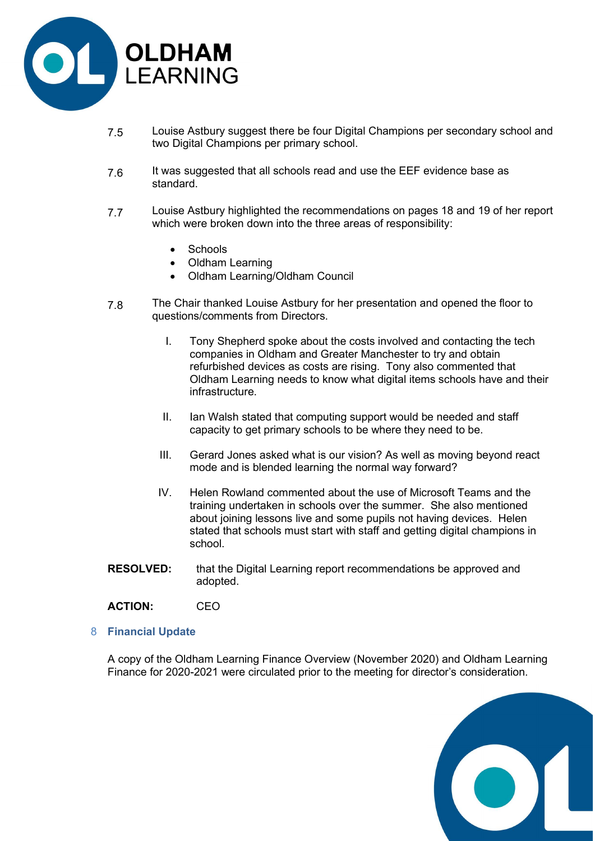

- 7.5 Louise Astbury suggest there be four Digital Champions per secondary school and two Digital Champions per primary school.
- 7.6 It was suggested that all schools read and use the EEF evidence base as standard.
- 7.7 Louise Astbury highlighted the recommendations on pages 18 and 19 of her report which were broken down into the three areas of responsibility:
	- Schools
	- Oldham Learning
	- Oldham Learning/Oldham Council
- 7.8 The Chair thanked Louise Astbury for her presentation and opened the floor to questions/comments from Directors.
	- I. Tony Shepherd spoke about the costs involved and contacting the tech companies in Oldham and Greater Manchester to try and obtain refurbished devices as costs are rising. Tony also commented that Oldham Learning needs to know what digital items schools have and their infrastructure.
	- II. Ian Walsh stated that computing support would be needed and staff capacity to get primary schools to be where they need to be.
	- III. Gerard Jones asked what is our vision? As well as moving beyond react mode and is blended learning the normal way forward?
	- IV. Helen Rowland commented about the use of Microsoft Teams and the training undertaken in schools over the summer. She also mentioned about joining lessons live and some pupils not having devices. Helen stated that schools must start with staff and getting digital champions in school.
- **RESOLVED:** that the Digital Learning report recommendations be approved and adopted.
- ACTION: CEO
- 8 Financial Update

A copy of the Oldham Learning Finance Overview (November 2020) and Oldham Learning Finance for 2020-2021 were circulated prior to the meeting for director's consideration.

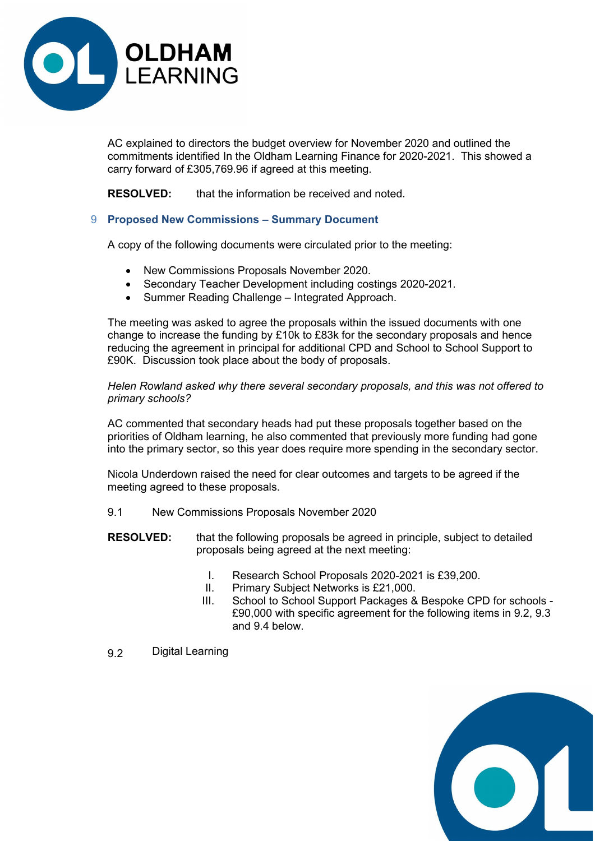

AC explained to directors the budget overview for November 2020 and outlined the commitments identified In the Oldham Learning Finance for 2020-2021. This showed a carry forward of £305,769.96 if agreed at this meeting.

RESOLVED: that the information be received and noted.

# 9 Proposed New Commissions – Summary Document

A copy of the following documents were circulated prior to the meeting:

- New Commissions Proposals November 2020.
- Secondary Teacher Development including costings 2020-2021.
- Summer Reading Challenge Integrated Approach.

The meeting was asked to agree the proposals within the issued documents with one change to increase the funding by £10k to £83k for the secondary proposals and hence reducing the agreement in principal for additional CPD and School to School Support to £90K. Discussion took place about the body of proposals.

Helen Rowland asked why there several secondary proposals, and this was not offered to primary schools?

AC commented that secondary heads had put these proposals together based on the priorities of Oldham learning, he also commented that previously more funding had gone into the primary sector, so this year does require more spending in the secondary sector.

Nicola Underdown raised the need for clear outcomes and targets to be agreed if the meeting agreed to these proposals.

- 9.1 New Commissions Proposals November 2020
- RESOLVED: that the following proposals be agreed in principle, subject to detailed proposals being agreed at the next meeting:
	- I. Research School Proposals 2020-2021 is £39,200.
	- II. Primary Subject Networks is £21,000.
	- III. School to School Support Packages & Bespoke CPD for schools £90,000 with specific agreement for the following items in 9.2, 9.3 and 9.4 below.
- 9.2 Digital Learning

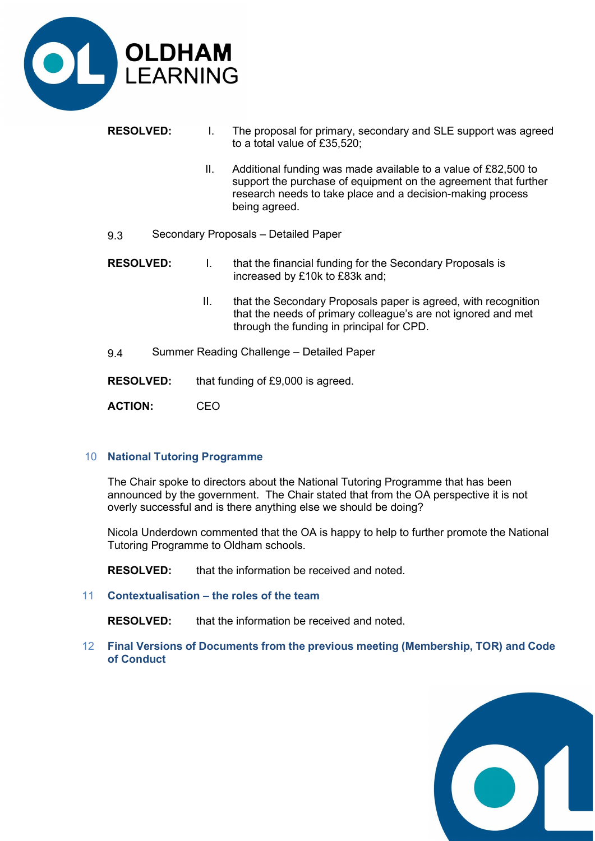

- RESOLVED: I. The proposal for primary, secondary and SLE support was agreed to a total value of £35,520;
	- II. Additional funding was made available to a value of £82,500 to support the purchase of equipment on the agreement that further research needs to take place and a decision-making process being agreed.
- 9.3 Secondary Proposals Detailed Paper
- RESOLVED: I. that the financial funding for the Secondary Proposals is increased by £10k to £83k and;
	- II. that the Secondary Proposals paper is agreed, with recognition that the needs of primary colleague's are not ignored and met through the funding in principal for CPD.
- 9.4 Summer Reading Challenge Detailed Paper
- RESOLVED: that funding of £9,000 is agreed.

ACTION: CEO

# 10 National Tutoring Programme

The Chair spoke to directors about the National Tutoring Programme that has been announced by the government. The Chair stated that from the OA perspective it is not overly successful and is there anything else we should be doing?

Nicola Underdown commented that the OA is happy to help to further promote the National Tutoring Programme to Oldham schools.

RESOLVED: that the information be received and noted.

11 Contextualisation – the roles of the team

RESOLVED: that the information be received and noted.

12 Final Versions of Documents from the previous meeting (Membership, TOR) and Code of Conduct